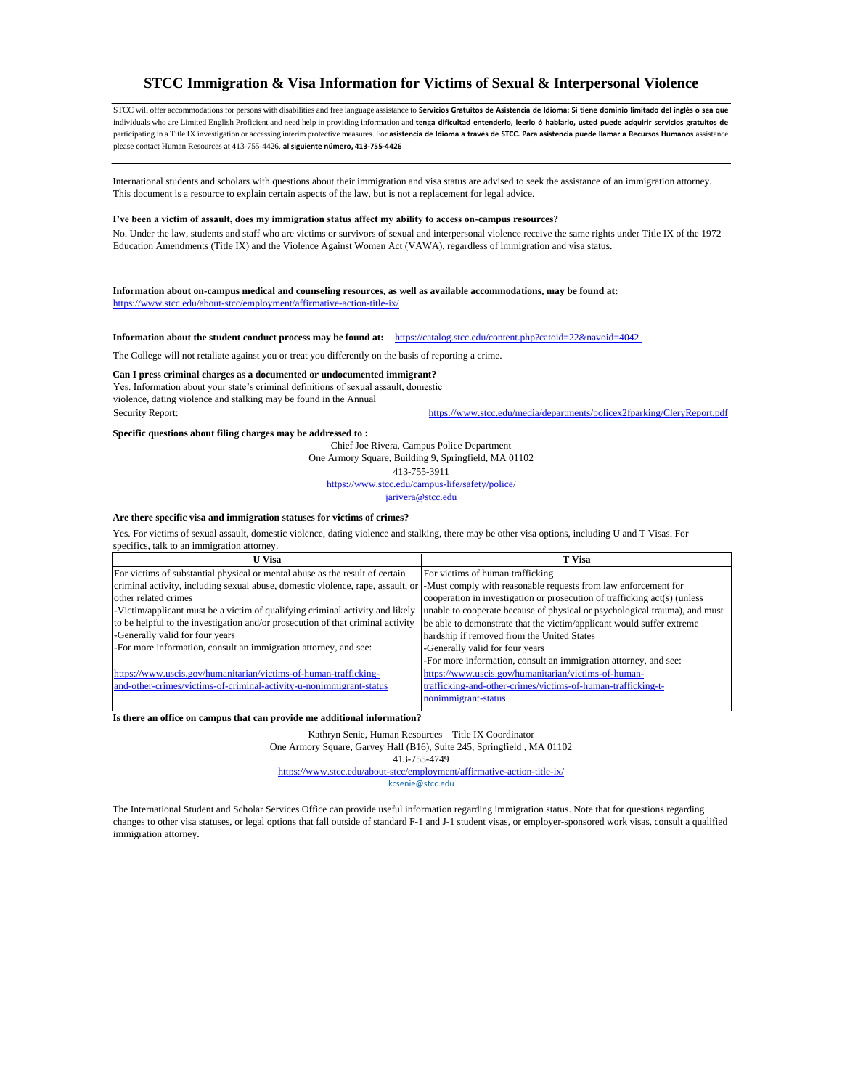# **STCC Immigration & Visa Information for Victims of Sexual & Interpersonal Violence**

STCC will offer accommodations for persons with disabilities and free language assistance to **Servicios Gratuitos de Asistencia de Idioma: Si tiene dominio limitado del inglés o sea que**  individuals who are Limited English Proficient and need help in providing information and **tenga dificultad entenderlo, leerlo ó hablarlo, usted puede adquirir servicios gratuitos de**  participating in a Title IX investigation or accessing interim protective measures. For asistencia de Idioma a través de STCC. Para asistencia puede llamar a Recursos Humanos assistance please contact Human Resources at 413-755-4426. **al siguiente número, 413-755-4426** 

International students and scholars with questions about their immigration and visa status are advised to seek the assistance of an immigration attorney. This document is a resource to explain certain aspects of the law, but is not a replacement for legal advice.

Yes. Information about your state's criminal definitions of sexual assault, domestic violence, dating violence and stalking may be found in the Annual Security Report: https:[//www.stcc.edu/media/departments/policex2fparking/CleryReport.pdf](http://www.stcc.edu/media/departments/policex2fparking/CleryReport.pdf)

#### **I've been a victim of assault, does my immigration status affect my ability to access on-campus resources?**

No. Under the law, students and staff who are victims or survivors of sexual and interpersonal violence receive the same rights under Title IX of the 1972 Education Amendments (Title IX) and the Violence Against Women Act (VAWA), regardless of immigration and visa status.

**Information about on-campus medical and counseling resources, as well as available accommodations, may be found at:**  https:[//www.stcc.edu/about](http://www.stcc.edu/about-stcc/employment/affirmative-action--title-ix/)[-stcc/employment/affirmative-action-title-ix/](http://www.stcc.edu/about-stcc/employment/affirmative-action-title-ix/)

**Information about the student conduct process may be found at:** <https://catalog.stcc.edu/content.php?catoid=22&navoid=4042>

The College will not retaliate against you or treat you differently on the basis of reporting a crime.

## **Can I press criminal charges as a documented or undocumented immigrant?**

#### **Specific questions about filing charges may be addressed to :**

Chief Joe Rivera, Campus Police Department One Armory Square, Building 9, Springfield, MA 01102

413-755-3911

<https://www.stcc.edu/campus-life/safety/police/>

[jarivera@stcc.edu](mailto:jarivera@stcc.edu)

#### **Are there specific visa and immigration statuses for victims of crimes?**

Yes. For victims of sexual assault, domestic violence, dating violence and stalking, there may be other visa options, including U and T Visas. For specifics, talk to an immigration attorney.

| <b>U</b> Visa                                                                                                                                   | <b>T</b> Visa                                                              |
|-------------------------------------------------------------------------------------------------------------------------------------------------|----------------------------------------------------------------------------|
| For victims of substantial physical or mental abuse as the result of certain                                                                    | For victims of human trafficking                                           |
| criminal activity, including sexual abuse, domestic violence, rape, assault, or  -Must comply with reasonable requests from law enforcement for |                                                                            |
| other related crimes                                                                                                                            | cooperation in investigation or prosecution of trafficking act(s) (unless  |
| -Victim/applicant must be a victim of qualifying criminal activity and likely                                                                   | unable to cooperate because of physical or psychological trauma), and must |
| to be helpful to the investigation and/or prosecution of that criminal activity                                                                 | be able to demonstrate that the victim/applicant would suffer extreme      |
| -Generally valid for four years                                                                                                                 | hardship if removed from the United States                                 |
| -For more information, consult an immigration attorney, and see:                                                                                | -Generally valid for four years                                            |
|                                                                                                                                                 | -For more information, consult an immigration attorney, and see:           |
| https://www.uscis.gov/humanitarian/victims-of-human-trafficking-                                                                                | https://www.uscis.gov/humanitarian/victims-of-human-                       |
| and-other-crimes/victims-of-criminal-activity-u-nonimmigrant-status                                                                             | trafficking-and-other-crimes/victims-of-human-trafficking-t-               |
|                                                                                                                                                 | nonimmigrant-status                                                        |

**Is there an office on campus that can provide me additional information?** 

Kathryn Senie, Human Resources – Title IX Coordinator

## One Armory Square, Garvey Hall (B16), Suite 245, Springfield , MA 01102 413-755-4749 https:[//www.stcc.edu/about](http://www.stcc.edu/about-stcc/employment/affirmative-action-title-ix/)[-stcc/employment/affirmative-action-title-ix/](http://www.stcc.edu/about-stcc/employment/affirmative-action--title-ix/) [kcsenie@stcc.edu](mailto:kcsenie@stcc.edu)

The International Student and Scholar Services Office can provide useful information regarding immigration status. Note that for questions regarding changes to other visa statuses, or legal options that fall outside of standard F-1 and J-1 student visas, or employer-sponsored work visas, consult a qualified immigration attorney.